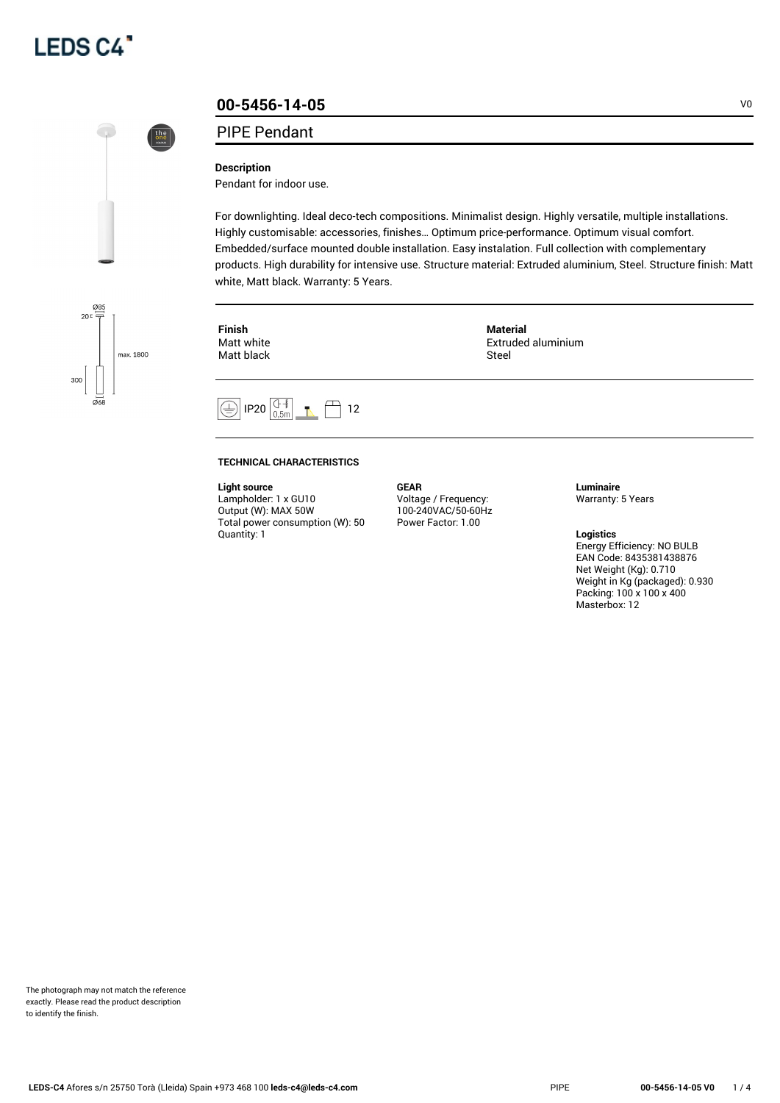



## **00-5456-14-05** V0

#### PIPE Pendant

#### **Description**

Pendant for indoor use.

For downlighting. Ideal deco-tech compositions. Minimalist design. Highly versatile, multiple installations. Highly customisable: accessories, finishes… Optimum price-performance. Optimum visual comfort. Embedded/surface mounted double installation. Easy instalation. Full collection with complementary products. High durability for intensive use. Structure material: Extruded aluminium, Steel. Structure finish: Matt white, Matt black. Warranty: 5 Years.



**Finish** Matt white Matt black **Material** Extruded aluminium Steel



#### **TECHNICAL CHARACTERISTICS**

#### **Light source**

Lampholder: 1 x GU10 Output (W): MAX 50W Total power consumption (W): 50 Quantity: 1

**GEAR** Voltage / Frequency: 100-240VAC/50-60Hz Power Factor: 1.00

**Luminaire** Warranty: 5 Years

### **Logistics**

Energy Efficiency: NO BULB EAN Code: 8435381438876 Net Weight (Kg): 0.710 Weight in Kg (packaged): 0.930 Packing: 100 x 100 x 400 Masterbox: 12

The photograph may not match the reference exactly. Please read the product description to identify the finish.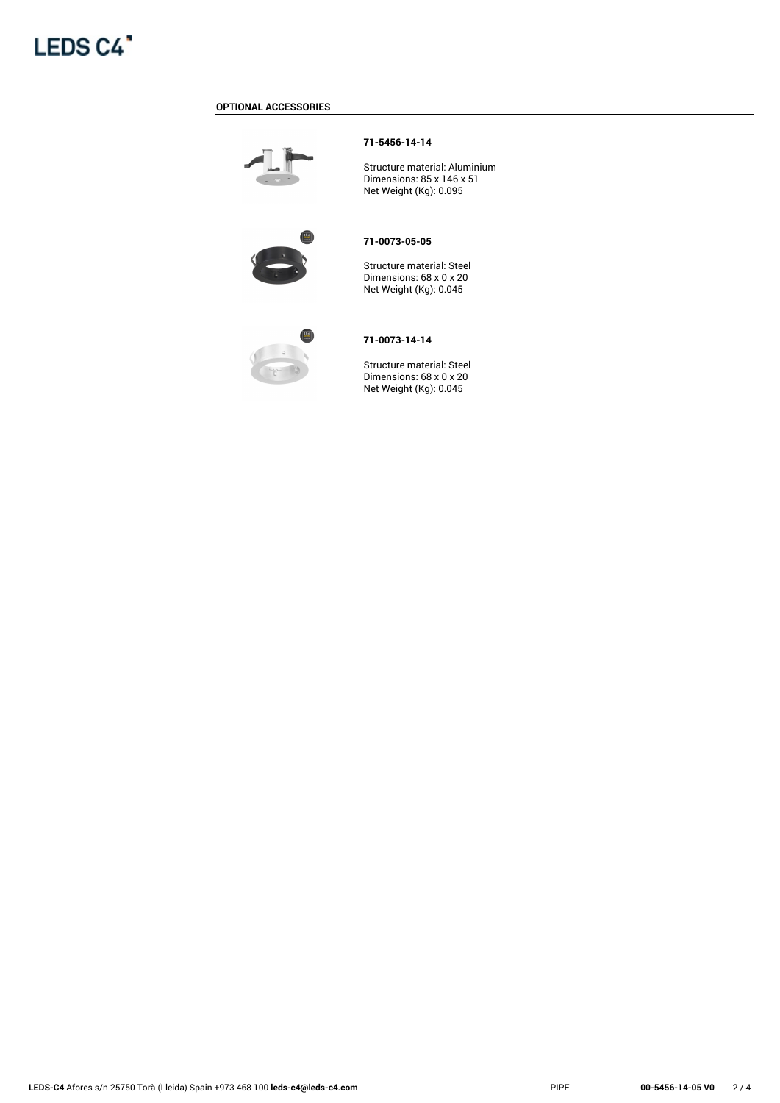

#### **OPTIONAL ACCESSORIES**



#### **71-5456-14-14**

Structure material: Aluminium Dimensions: 85 x 146 x 51 Net Weight (Kg): 0.095



#### **71-0073-05-05**

Structure material: Steel Dimensions: 68 x 0 x 20 Net Weight (Kg): 0.045



#### **71-0073-14-14**

Structure material: Steel Dimensions: 68 x 0 x 20 Net Weight (Kg): 0.045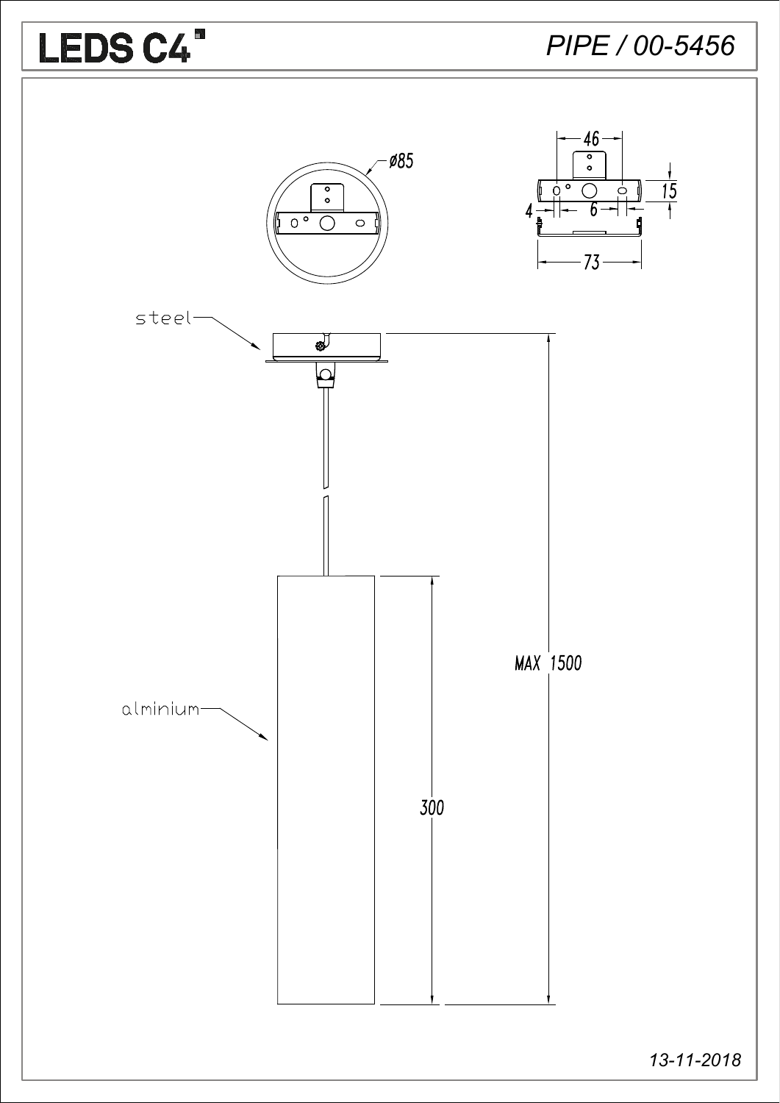

13-11-2018